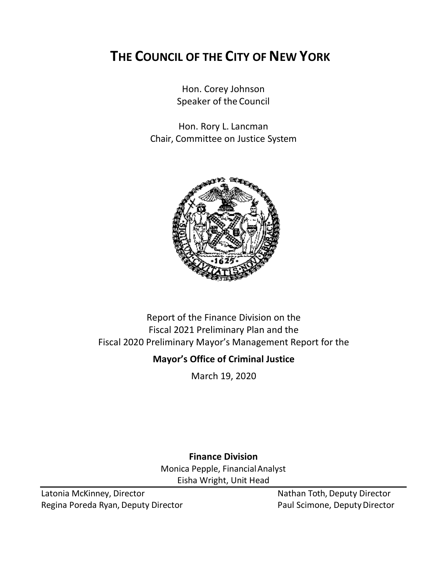# **THE COUNCIL OF THE CITY OF NEW YORK**

Hon. Corey Johnson Speaker of the Council

Hon. Rory L. Lancman Chair, Committee on Justice System



## Report of the Finance Division on the Fiscal 2021 Preliminary Plan and the Fiscal 2020 Preliminary Mayor's Management Report for the

## **Mayor's Office of Criminal Justice**

March 19, 2020

**Finance Division** Monica Pepple, FinancialAnalyst Eisha Wright, Unit Head

Latonia McKinney, Director Regina Poreda Ryan, Deputy Director **Paul Scimone, Deputy Director** 

Nathan Toth, Deputy Director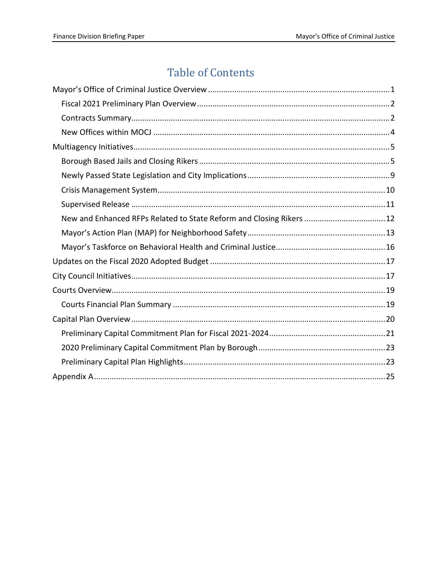## **Table of Contents**

| New and Enhanced RFPs Related to State Reform and Closing Rikers  12 |  |
|----------------------------------------------------------------------|--|
|                                                                      |  |
|                                                                      |  |
|                                                                      |  |
|                                                                      |  |
|                                                                      |  |
|                                                                      |  |
|                                                                      |  |
|                                                                      |  |
|                                                                      |  |
|                                                                      |  |
|                                                                      |  |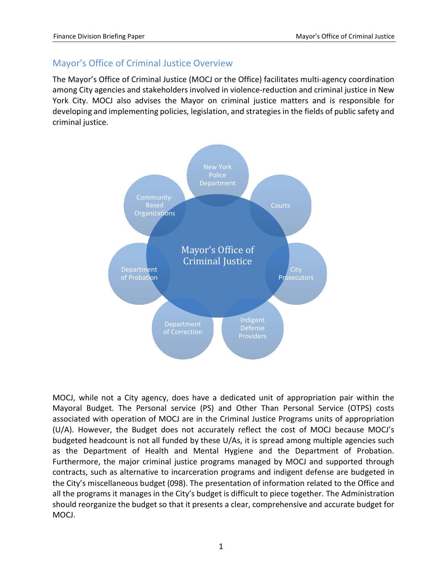## <span id="page-2-0"></span>Mayor's Office of Criminal Justice Overview

The Mayor's Office of Criminal Justice (MOCJ or the Office) facilitates multi-agency coordination among City agencies and stakeholders involved in violence-reduction and criminal justice in New York City. MOCJ also advises the Mayor on criminal justice matters and is responsible for developing and implementing policies, legislation, and strategies in the fields of public safety and criminal justice.



MOCJ, while not a City agency, does have a dedicated unit of appropriation pair within the Mayoral Budget. The Personal service (PS) and Other Than Personal Service (OTPS) costs associated with operation of MOCJ are in the Criminal Justice Programs units of appropriation (U/A). However, the Budget does not accurately reflect the cost of MOCJ because MOCJ's budgeted headcount is not all funded by these U/As, it is spread among multiple agencies such as the Department of Health and Mental Hygiene and the Department of Probation. Furthermore, the major criminal justice programs managed by MOCJ and supported through contracts, such as alternative to incarceration programs and indigent defense are budgeted in the City's miscellaneous budget (098). The presentation of information related to the Office and all the programs it manages in the City's budget is difficult to piece together. The Administration should reorganize the budget so that it presents a clear, comprehensive and accurate budget for MOCJ.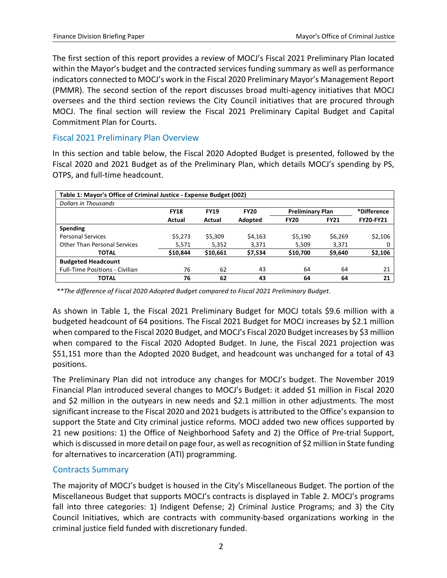The first section of this report provides a review of MOCJ's Fiscal 2021 Preliminary Plan located within the Mayor's budget and the contracted services funding summary as well as performance indicators connected to MOCJ's work in the Fiscal 2020 Preliminary Mayor's Management Report (PMMR). The second section of the report discusses broad multi-agency initiatives that MOCJ oversees and the third section reviews the City Council initiatives that are procured through MOCJ. The final section will review the Fiscal 2021 Preliminary Capital Budget and Capital Commitment Plan for Courts.

#### <span id="page-3-0"></span>Fiscal 2021 Preliminary Plan Overview

In this section and table below, the Fiscal 2020 Adopted Budget is presented, followed by the Fiscal 2020 and 2021 Budget as of the Preliminary Plan, which details MOCJ's spending by PS, OTPS, and full-time headcount.

| Table 1: Mayor's Office of Criminal Justice - Expense Budget (002) |             |             |             |                         |             |                  |
|--------------------------------------------------------------------|-------------|-------------|-------------|-------------------------|-------------|------------------|
| <b>Dollars in Thousands</b>                                        |             |             |             |                         |             |                  |
|                                                                    | <b>FY18</b> | <b>FY19</b> | <b>FY20</b> | <b>Preliminary Plan</b> |             | *Difference      |
|                                                                    | Actual      | Actual      | Adopted     | <b>FY20</b>             | <b>FY21</b> | <b>FY20-FY21</b> |
| <b>Spending</b>                                                    |             |             |             |                         |             |                  |
| <b>Personal Services</b>                                           | \$5,273     | \$5.309     | \$4,163     | \$5,190                 | \$6,269     | \$2,106          |
| <b>Other Than Personal Services</b>                                | 5,571       | 5,352       | 3,371       | 5,509                   | 3,371       |                  |
| <b>TOTAL</b>                                                       | \$10,844    | \$10,661    | \$7,534     | \$10,700                | \$9,640     | \$2,106          |
| <b>Budgeted Headcount</b>                                          |             |             |             |                         |             |                  |
| Full-Time Positions - Civilian                                     | 76          | 62          | 43          | 64                      | 64          | 21               |
| <b>TOTAL</b>                                                       | 76          | 62          | 43          | 64                      | 64          | 21               |

*\*\*The difference of Fiscal 2020 Adopted Budget compared to Fiscal 2021 Preliminary Budget.*

As shown in Table 1, the Fiscal 2021 Preliminary Budget for MOCJ totals \$9.6 million with a budgeted headcount of 64 positions. The Fiscal 2021 Budget for MOCJ increases by \$2.1 million when compared to the Fiscal 2020 Budget, and MOCJ's Fiscal 2020 Budget increases by \$3 million when compared to the Fiscal 2020 Adopted Budget. In June, the Fiscal 2021 projection was \$51,151 more than the Adopted 2020 Budget, and headcount was unchanged for a total of 43 positions.

The Preliminary Plan did not introduce any changes for MOCJ's budget. The November 2019 Financial Plan introduced several changes to MOCJ's Budget: it added \$1 million in Fiscal 2020 and \$2 million in the outyears in new needs and \$2.1 million in other adjustments. The most significant increase to the Fiscal 2020 and 2021 budgets is attributed to the Office's expansion to support the State and City criminal justice reforms. MOCJ added two new offices supported by 21 new positions: 1) the Office of Neighborhood Safety and 2) the Office of Pre-trial Support, which is discussed in more detail on page four, as well as recognition of \$2 million in State funding for alternatives to incarceration (ATI) programming.

#### <span id="page-3-1"></span>Contracts Summary

The majority of MOCJ's budget is housed in the City's Miscellaneous Budget. The portion of the Miscellaneous Budget that supports MOCJ's contracts is displayed in Table 2. MOCJ's programs fall into three categories: 1) Indigent Defense; 2) Criminal Justice Programs; and 3) the City Council Initiatives, which are contracts with community-based organizations working in the criminal justice field funded with discretionary funded.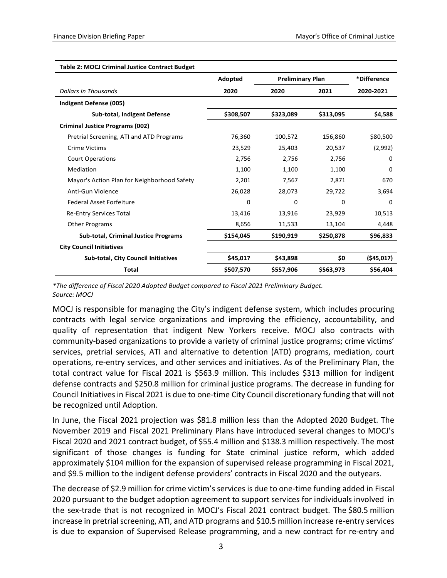| Table 2: MOCJ Criminal Justice Contract Budget |           |                         |           |                |
|------------------------------------------------|-----------|-------------------------|-----------|----------------|
|                                                | Adopted   | <b>Preliminary Plan</b> |           | *Difference    |
| <b>Dollars in Thousands</b>                    | 2020      | 2020<br>2021            |           | 2020-2021      |
| Indigent Defense (005)                         |           |                         |           |                |
| Sub-total, Indigent Defense                    | \$308,507 | \$323,089               | \$313,095 | \$4,588        |
| <b>Criminal Justice Programs (002)</b>         |           |                         |           |                |
| Pretrial Screening, ATI and ATD Programs       | 76,360    | 100,572                 | 156,860   | \$80,500       |
| <b>Crime Victims</b>                           | 23,529    | 25,403                  | 20,537    | (2,992)        |
| <b>Court Operations</b>                        | 2,756     | 2,756                   | 2,756     | 0              |
| Mediation                                      | 1,100     | 1,100                   | 1,100     | 0              |
| Mayor's Action Plan for Neighborhood Safety    | 2,201     | 7,567                   | 2,871     | 670            |
| Anti-Gun Violence                              | 26,028    | 28,073                  | 29,722    | 3,694          |
| <b>Federal Asset Forfeiture</b>                | 0         | 0                       | 0         | 0              |
| Re-Entry Services Total                        | 13,416    | 13,916                  | 23,929    | 10,513         |
| Other Programs                                 | 8,656     | 11,533                  | 13,104    | 4,448          |
| <b>Sub-total, Criminal Justice Programs</b>    | \$154,045 | \$190,919               | \$250,878 | \$96,833       |
| <b>City Council Initiatives</b>                |           |                         |           |                |
| Sub-total, City Council Initiatives            | \$45,017  | \$43,898                | \$0       | ( \$45,017\$ ) |
| Total                                          | \$507,570 | \$557,906               | \$563.973 | \$56.404       |

#### **Table 2: MOCJ Criminal Justice Contract Budget**

*\*The difference of Fiscal 2020 Adopted Budget compared to Fiscal 2021 Preliminary Budget. Source: MOCJ*

MOCJ is responsible for managing the City's indigent defense system, which includes procuring contracts with legal service organizations and improving the efficiency, accountability, and quality of representation that indigent New Yorkers receive. MOCJ also contracts with community-based organizations to provide a variety of criminal justice programs; crime victims' services, pretrial services, ATI and alternative to detention (ATD) programs, mediation, court operations, re-entry services, and other services and initiatives. As of the Preliminary Plan, the total contract value for Fiscal 2021 is \$563.9 million. This includes \$313 million for indigent defense contracts and \$250.8 million for criminal justice programs. The decrease in funding for Council Initiatives in Fiscal 2021 is due to one-time City Council discretionary funding that will not be recognized until Adoption.

In June, the Fiscal 2021 projection was \$81.8 million less than the Adopted 2020 Budget. The November 2019 and Fiscal 2021 Preliminary Plans have introduced several changes to MOCJ's Fiscal 2020 and 2021 contract budget, of \$55.4 million and \$138.3 million respectively. The most significant of those changes is funding for State criminal justice reform, which added approximately \$104 million for the expansion of supervised release programming in Fiscal 2021, and \$9.5 million to the indigent defense providers' contracts in Fiscal 2020 and the outyears.

The decrease of \$2.9 million for crime victim's services is due to one-time funding added in Fiscal 2020 pursuant to the budget adoption agreement to support services for individuals involved in the sex-trade that is not recognized in MOCJ's Fiscal 2021 contract budget. The \$80.5 million increase in pretrial screening, ATI, and ATD programs and \$10.5 million increase re-entry services is due to expansion of Supervised Release programming, and a new contract for re-entry and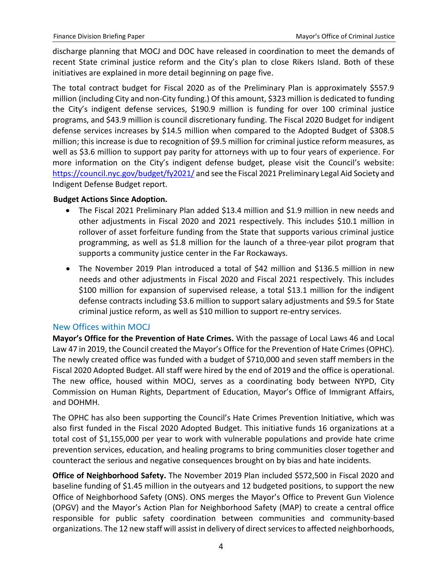discharge planning that MOCJ and DOC have released in coordination to meet the demands of recent State criminal justice reform and the City's plan to close Rikers Island. Both of these initiatives are explained in more detail beginning on page five.

The total contract budget for Fiscal 2020 as of the Preliminary Plan is approximately \$557.9 million (including City and non-City funding.) Of this amount, \$323 million is dedicated to funding the City's indigent defense services, \$190.9 million is funding for over 100 criminal justice programs, and \$43.9 million is council discretionary funding. The Fiscal 2020 Budget for indigent defense services increases by \$14.5 million when compared to the Adopted Budget of \$308.5 million; this increase is due to recognition of \$9.5 million for criminal justice reform measures, as well as \$3.6 million to support pay parity for attorneys with up to four years of experience. For more information on the City's indigent defense budget, please visit the Council's website: https://council.nyc.gov/budget/fy2021/ and see the Fiscal 2021 Preliminary Legal Aid Society and Indigent Defense Budget report.

#### **Budget Actions Since Adoption.**

- The Fiscal 2021 Preliminary Plan added \$13.4 million and \$1.9 million in new needs and other adjustments in Fiscal 2020 and 2021 respectively. This includes \$10.1 million in rollover of asset forfeiture funding from the State that supports various criminal justice programming, as well as \$1.8 million for the launch of a three-year pilot program that supports a community justice center in the Far Rockaways.
- The November 2019 Plan introduced a total of \$42 million and \$136.5 million in new needs and other adjustments in Fiscal 2020 and Fiscal 2021 respectively. This includes \$100 million for expansion of supervised release, a total \$13.1 million for the indigent defense contracts including \$3.6 million to support salary adjustments and \$9.5 for State criminal justice reform, as well as \$10 million to support re-entry services.

#### <span id="page-5-0"></span>New Offices within MOCJ

**Mayor's Office for the Prevention of Hate Crimes.** With the passage of Local Laws 46 and Local Law 47 in 2019, the Council created the Mayor's Office for the Prevention of Hate Crimes (OPHC). The newly created office was funded with a budget of \$710,000 and seven staff members in the Fiscal 2020 Adopted Budget. All staff were hired by the end of 2019 and the office is operational. The new office, housed within MOCJ, serves as a coordinating body between NYPD, City Commission on Human Rights, Department of Education, Mayor's Office of Immigrant Affairs, and DOHMH.

The OPHC has also been supporting the Council's Hate Crimes Prevention Initiative, which was also first funded in the Fiscal 2020 Adopted Budget. This initiative funds 16 organizations at a total cost of \$1,155,000 per year to work with vulnerable populations and provide hate crime prevention services, education, and healing programs to bring communities closer together and counteract the serious and negative consequences brought on by bias and hate incidents.

**Office of Neighborhood Safety.** The November 2019 Plan included \$572,500 in Fiscal 2020 and baseline funding of \$1.45 million in the outyears and 12 budgeted positions, to support the new Office of Neighborhood Safety (ONS). ONS merges the Mayor's Office to Prevent Gun Violence (OPGV) and the Mayor's Action Plan for Neighborhood Safety (MAP) to create a central office responsible for public safety coordination between communities and community-based organizations. The 12 new staff will assist in delivery of direct services to affected neighborhoods,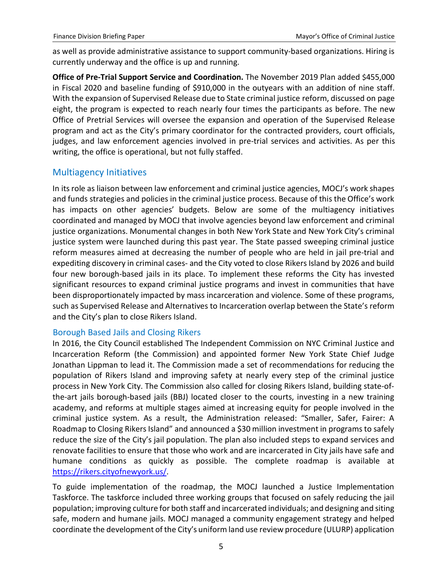as well as provide administrative assistance to support community-based organizations. Hiring is currently underway and the office is up and running.

**Office of Pre-Trial Support Service and Coordination.** The November 2019 Plan added \$455,000 in Fiscal 2020 and baseline funding of \$910,000 in the outyears with an addition of nine staff. With the expansion of Supervised Release due to State criminal justice reform, discussed on page eight, the program is expected to reach nearly four times the participants as before. The new Office of Pretrial Services will oversee the expansion and operation of the Supervised Release program and act as the City's primary coordinator for the contracted providers, court officials, judges, and law enforcement agencies involved in pre-trial services and activities. As per this writing, the office is operational, but not fully staffed.

#### <span id="page-6-0"></span>Multiagency Initiatives

In its role as liaison between law enforcement and criminal justice agencies, MOCJ's work shapes and funds strategies and policies in the criminal justice process. Because of this the Office's work has impacts on other agencies' budgets. Below are some of the multiagency initiatives coordinated and managed by MOCJ that involve agencies beyond law enforcement and criminal justice organizations. Monumental changes in both New York State and New York City's criminal justice system were launched during this past year. The State passed sweeping criminal justice reform measures aimed at decreasing the number of people who are held in jail pre-trial and expediting discovery in criminal cases- and the City voted to close Rikers Island by 2026 and build four new borough-based jails in its place. To implement these reforms the City has invested significant resources to expand criminal justice programs and invest in communities that have been disproportionately impacted by mass incarceration and violence. Some of these programs, such as Supervised Release and Alternatives to Incarceration overlap between the State's reform and the City's plan to close Rikers Island.

#### <span id="page-6-1"></span>Borough Based Jails and Closing Rikers

In 2016, the City Council established The Independent Commission on NYC Criminal Justice and Incarceration Reform (the Commission) and appointed former New York State Chief Judge Jonathan Lippman to lead it. The Commission made a set of recommendations for reducing the population of Rikers Island and improving safety at nearly every step of the criminal justice process in New York City. The Commission also called for closing Rikers Island, building state-ofthe-art jails borough-based jails (BBJ) located closer to the courts, investing in a new training academy, and reforms at multiple stages aimed at increasing equity for people involved in the criminal justice system. As a result, the Administration released: "Smaller, Safer, Fairer: A Roadmap to Closing Rikers Island" and announced a \$30 million investment in programs to safely reduce the size of the City's jail population. The plan also included steps to expand services and renovate facilities to ensure that those who work and are incarcerated in City jails have safe and humane conditions as quickly as possible. The complete roadmap is available at https://rikers.cityofnewyork.us/.

To guide implementation of the roadmap, the MOCJ launched a Justice Implementation Taskforce. The taskforce included three working groups that focused on safely reducing the jail population; improving culture for both staff and incarcerated individuals; and designing and siting safe, modern and humane jails. MOCJ managed a community engagement strategy and helped coordinate the development of the City's uniform land use review procedure (ULURP) application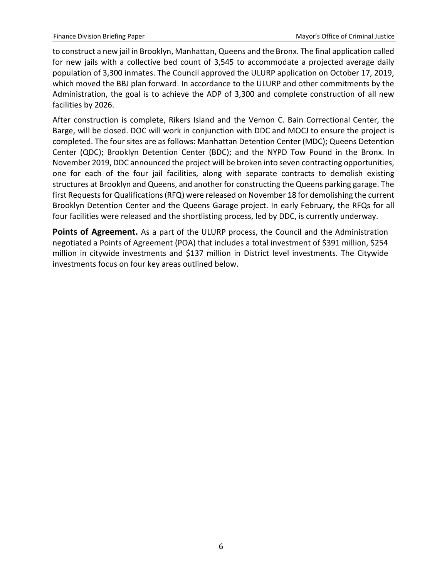to construct a new jail in Brooklyn, Manhattan, Queens and the Bronx. The final application called for new jails with a collective bed count of 3,545 to accommodate a projected average daily population of 3,300 inmates. The Council approved the ULURP application on October 17, 2019, which moved the BBJ plan forward. In accordance to the ULURP and other commitments by the Administration, the goal is to achieve the ADP of 3,300 and complete construction of all new facilities by 2026.

After construction is complete, Rikers Island and the Vernon C. Bain Correctional Center, the Barge, will be closed. DOC will work in conjunction with DDC and MOCJ to ensure the project is completed. The four sites are as follows: Manhattan Detention Center (MDC); Queens Detention Center (QDC); Brooklyn Detention Center (BDC); and the NYPD Tow Pound in the Bronx. In November 2019, DDC announced the project will be broken into seven contracting opportunities, one for each of the four jail facilities, along with separate contracts to demolish existing structures at Brooklyn and Queens, and another for constructing the Queens parking garage. The first Requests for Qualifications (RFQ) were released on November 18 for demolishing the current Brooklyn Detention Center and the Queens Garage project. In early February, the RFQs for all four facilities were released and the shortlisting process, led by DDC, is currently underway.

**Points of Agreement.** As a part of the ULURP process, the Council and the Administration negotiated a Points of Agreement (POA) that includes a total investment of \$391 million, \$254 million in citywide investments and \$137 million in District level investments. The Citywide investments focus on four key areas outlined below.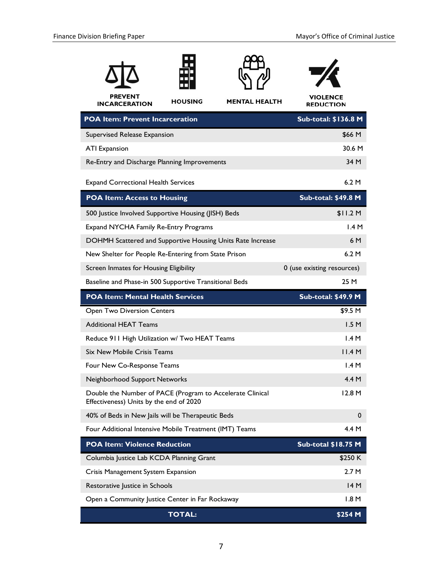| <b>PREVENT</b><br><b>INCARCERATION</b>                                                               | <b>HOUSING</b> | <b>MENTAL HEALTH</b> | VIOLENCE<br><b>REDUCTION</b> |  |  |
|------------------------------------------------------------------------------------------------------|----------------|----------------------|------------------------------|--|--|
| <b>POA Item: Prevent Incarceration</b>                                                               |                |                      | Sub-total: \$136.8 M         |  |  |
| Supervised Release Expansion                                                                         |                |                      | \$66 M                       |  |  |
| <b>ATI</b> Expansion                                                                                 |                |                      | 30.6 M                       |  |  |
| Re-Entry and Discharge Planning Improvements                                                         |                |                      | 34 M                         |  |  |
| <b>Expand Correctional Health Services</b>                                                           |                |                      | 6.2M                         |  |  |
| <b>POA Item: Access to Housing</b>                                                                   |                |                      | <b>Sub-total: \$49.8 M</b>   |  |  |
| 500 Justice Involved Supportive Housing (JISH) Beds                                                  |                |                      | \$11.2 M                     |  |  |
| Expand NYCHA Family Re-Entry Programs                                                                |                |                      | 1.4M                         |  |  |
| DOHMH Scattered and Supportive Housing Units Rate Increase                                           |                |                      | 6 M                          |  |  |
| New Shelter for People Re-Entering from State Prison                                                 |                |                      | 6.2M                         |  |  |
| Screen Inmates for Housing Eligibility                                                               |                |                      | 0 (use existing resources)   |  |  |
| Baseline and Phase-in 500 Supportive Transitional Beds                                               |                |                      | 25 M                         |  |  |
| <b>POA Item: Mental Health Services</b>                                                              |                |                      | Sub-total: \$49.9 M          |  |  |
| <b>Open Two Diversion Centers</b>                                                                    |                |                      | \$9.5 M                      |  |  |
| <b>Additional HEAT Teams</b>                                                                         |                |                      | 1.5M                         |  |  |
| Reduce 911 High Utilization w/ Two HEAT Teams                                                        |                |                      |                              |  |  |
|                                                                                                      |                |                      | 1.4M                         |  |  |
| Six New Mobile Crisis Teams                                                                          |                |                      | II.4M                        |  |  |
| Four New Co-Response Teams                                                                           |                |                      | 1.4 M                        |  |  |
| Neighborhood Support Networks                                                                        |                |                      | 4.4 M                        |  |  |
| Double the Number of PACE (Program to Accelerate Clinical<br>Effectiveness) Units by the end of 2020 |                |                      | 12.8 M                       |  |  |
| 40% of Beds in New Jails will be Therapeutic Beds                                                    |                |                      | 0                            |  |  |
| Four Additional Intensive Mobile Treatment (IMT) Teams                                               |                |                      | 4.4 M                        |  |  |
| <b>POA Item: Violence Reduction</b>                                                                  |                |                      | <b>Sub-total \$18.75 M</b>   |  |  |
| Columbia Justice Lab KCDA Planning Grant                                                             |                |                      | \$250 K                      |  |  |
| Crisis Management System Expansion                                                                   |                |                      | 2.7M                         |  |  |
| Restorative Justice in Schools                                                                       |                |                      | 14M                          |  |  |
| Open a Community Justice Center in Far Rockaway                                                      |                |                      | 1.8 M                        |  |  |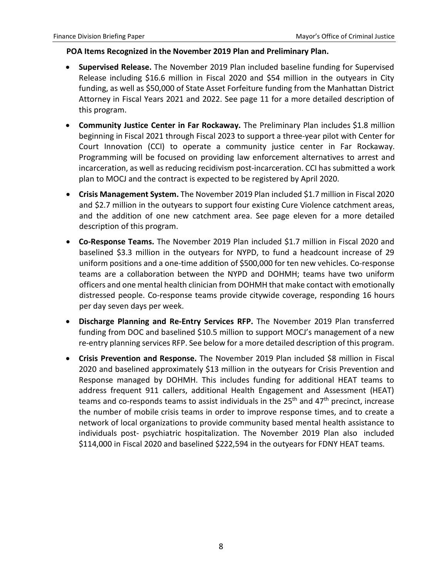#### **POA Items Recognized in the November 2019 Plan and Preliminary Plan.**

- **Supervised Release.** The November 2019 Plan included baseline funding for Supervised Release including \$16.6 million in Fiscal 2020 and \$54 million in the outyears in City funding, as well as \$50,000 of State Asset Forfeiture funding from the Manhattan District Attorney in Fiscal Years 2021 and 2022. See page 11 for a more detailed description of this program.
- **Community Justice Center in Far Rockaway.** The Preliminary Plan includes \$1.8 million beginning in Fiscal 2021 through Fiscal 2023 to support a three-year pilot with Center for Court Innovation (CCI) to operate a community justice center in Far Rockaway. Programming will be focused on providing law enforcement alternatives to arrest and incarceration, as well as reducing recidivism post-incarceration. CCI has submitted a work plan to MOCJ and the contract is expected to be registered by April 2020.
- **Crisis Management System.** The November 2019 Plan included \$1.7 million in Fiscal 2020 and \$2.7 million in the outyears to support four existing Cure Violence catchment areas, and the addition of one new catchment area. See page eleven for a more detailed description of this program.
- **Co-Response Teams.** The November 2019 Plan included \$1.7 million in Fiscal 2020 and baselined \$3.3 million in the outyears for NYPD, to fund a headcount increase of 29 uniform positions and a one-time addition of \$500,000 for ten new vehicles. Co-response teams are a collaboration between the NYPD and DOHMH; teams have two uniform officers and one mental health clinician from DOHMH that make contact with emotionally distressed people. Co-response teams provide citywide coverage, responding 16 hours per day seven days per week.
- **Discharge Planning and Re-Entry Services RFP.** The November 2019 Plan transferred funding from DOC and baselined \$10.5 million to support MOCJ's management of a new re-entry planning services RFP. See below for a more detailed description of this program.
- <span id="page-9-0"></span>• **Crisis Prevention and Response.** The November 2019 Plan included \$8 million in Fiscal 2020 and baselined approximately \$13 million in the outyears for Crisis Prevention and Response managed by DOHMH. This includes funding for additional HEAT teams to address frequent 911 callers, additional Health Engagement and Assessment (HEAT) teams and co-responds teams to assist individuals in the  $25<sup>th</sup>$  and  $47<sup>th</sup>$  precinct, increase the number of mobile crisis teams in order to improve response times, and to create a network of local organizations to provide community based mental health assistance to individuals post- psychiatric hospitalization. The November 2019 Plan also included \$114,000 in Fiscal 2020 and baselined \$222,594 in the outyears for FDNY HEAT teams.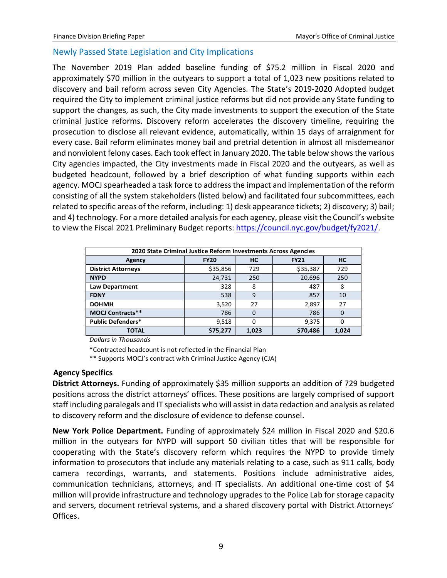#### Newly Passed State Legislation and City Implications

The November 2019 Plan added baseline funding of \$75.2 million in Fiscal 2020 and approximately \$70 million in the outyears to support a total of 1,023 new positions related to discovery and bail reform across seven City Agencies. The State's 2019-2020 Adopted budget required the City to implement criminal justice reforms but did not provide any State funding to support the changes, as such, the City made investments to support the execution of the State criminal justice reforms. Discovery reform accelerates the discovery timeline, requiring the prosecution to disclose all relevant evidence, automatically, within 15 days of arraignment for every case. Bail reform eliminates money bail and pretrial detention in almost all misdemeanor and nonviolent felony cases. Each took effect in January 2020. The table below shows the various City agencies impacted, the City investments made in Fiscal 2020 and the outyears, as well as budgeted headcount, followed by a brief description of what funding supports within each agency. MOCJ spearheaded a task force to address the impact and implementation of the reform consisting of all the system stakeholders (listed below) and facilitated four subcommittees, each related to specific areas of the reform, including: 1) desk appearance tickets; 2) discovery; 3) bail; and 4) technology. For a more detailed analysis for each agency, please visit the Council's website to view the Fiscal 2021 Preliminary Budget reports: https://council.nyc.gov/budget/fy2021/.

| 2020 State Criminal Justice Reform Investments Across Agencies |                                        |          |          |          |  |  |  |  |
|----------------------------------------------------------------|----------------------------------------|----------|----------|----------|--|--|--|--|
| <b>Agency</b>                                                  | НC<br><b>FY20</b><br>HC<br><b>FY21</b> |          |          |          |  |  |  |  |
| <b>District Attorneys</b>                                      | \$35,856                               | 729      | \$35,387 | 729      |  |  |  |  |
| <b>NYPD</b>                                                    | 24,731                                 | 250      | 20,696   | 250      |  |  |  |  |
| Law Department                                                 | 328                                    | 8        | 487      | 8        |  |  |  |  |
| <b>FDNY</b>                                                    | 538                                    | 9        | 857      | 10       |  |  |  |  |
| <b>DOHMH</b>                                                   | 3,520                                  | 27       | 2,897    | 27       |  |  |  |  |
| <b>MOCJ Contracts**</b>                                        | 786                                    | $\Omega$ | 786      | $\Omega$ |  |  |  |  |
| <b>Public Defenders*</b>                                       | 9,518                                  | 0        | 9,375    | 0        |  |  |  |  |
| <b>TOTAL</b>                                                   | \$75,277                               | 1,023    | \$70,486 | 1,024    |  |  |  |  |

*Dollars in Thousands*

\*Contracted headcount is not reflected in the Financial Plan

\*\* Supports MOCJ's contract with Criminal Justice Agency (CJA)

#### **Agency Specifics**

**District Attorneys.** Funding of approximately \$35 million supports an addition of 729 budgeted positions across the district attorneys' offices. These positions are largely comprised of support staff including paralegals and IT specialists who will assist in data redaction and analysis as related to discovery reform and the disclosure of evidence to defense counsel.

**New York Police Department.** Funding of approximately \$24 million in Fiscal 2020 and \$20.6 million in the outyears for NYPD will support 50 civilian titles that will be responsible for cooperating with the State's discovery reform which requires the NYPD to provide timely information to prosecutors that include any materials relating to a case, such as 911 calls, body camera recordings, warrants, and statements. Positions include administrative aides, communication technicians, attorneys, and IT specialists. An additional one-time cost of \$4 million will provide infrastructure and technology upgrades to the Police Lab for storage capacity and servers, document retrieval systems, and a shared discovery portal with District Attorneys' Offices.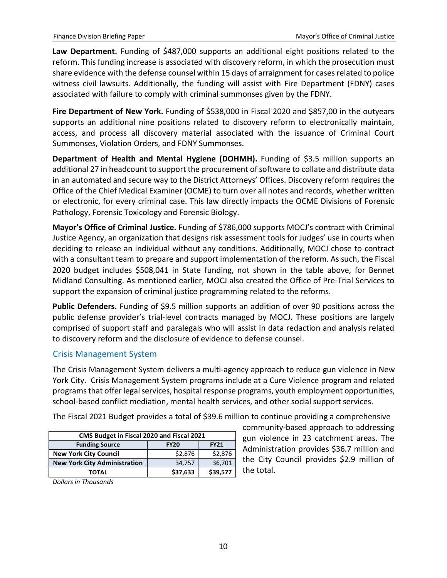**Law Department.** Funding of \$487,000 supports an additional eight positions related to the reform. This funding increase is associated with discovery reform, in which the prosecution must share evidence with the defense counsel within 15 days of arraignment for cases related to police witness civil lawsuits. Additionally, the funding will assist with Fire Department (FDNY) cases associated with failure to comply with criminal summonses given by the FDNY.

**Fire Department of New York.** Funding of \$538,000 in Fiscal 2020 and \$857,00 in the outyears supports an additional nine positions related to discovery reform to electronically maintain, access, and process all discovery material associated with the issuance of Criminal Court Summonses, Violation Orders, and FDNY Summonses.

**Department of Health and Mental Hygiene (DOHMH).** Funding of \$3.5 million supports an additional 27 in headcount to support the procurement of software to collate and distribute data in an automated and secure way to the District Attorneys' Offices. Discovery reform requires the Office of the Chief Medical Examiner (OCME) to turn over all notes and records, whether written or electronic, for every criminal case. This law directly impacts the OCME Divisions of Forensic Pathology, Forensic Toxicology and Forensic Biology.

**Mayor's Office of Criminal Justice.** Funding of \$786,000 supports MOCJ's contract with Criminal Justice Agency, an organization that designs risk assessment tools for Judges' use in courts when deciding to release an individual without any conditions. Additionally, MOCJ chose to contract with a consultant team to prepare and support implementation of the reform. As such, the Fiscal 2020 budget includes \$508,041 in State funding, not shown in the table above, for Bennet Midland Consulting. As mentioned earlier, MOCJ also created the Office of Pre-Trial Services to support the expansion of criminal justice programming related to the reforms.

**Public Defenders.** Funding of \$9.5 million supports an addition of over 90 positions across the public defense provider's trial-level contracts managed by MOCJ. These positions are largely comprised of support staff and paralegals who will assist in data redaction and analysis related to discovery reform and the disclosure of evidence to defense counsel.

#### <span id="page-11-0"></span>Crisis Management System

The Crisis Management System delivers a multi-agency approach to reduce gun violence in New York City. Crisis Management System programs include at a Cure Violence program and related programs that offer legal services, hospital response programs, youth employment opportunities, school-based conflict mediation, mental health services, and other social support services.

The Fiscal 2021 Budget provides a total of \$39.6 million to continue providing a comprehensive

| CMS Budget in Fiscal 2020 and Fiscal 2021               |          |          |  |  |  |
|---------------------------------------------------------|----------|----------|--|--|--|
| <b>Funding Source</b><br><b>FY20</b><br><b>FY21</b>     |          |          |  |  |  |
| <b>New York City Council</b>                            | \$2,876  | \$2,876  |  |  |  |
| <b>New York City Administration</b><br>36,701<br>34,757 |          |          |  |  |  |
| ΤΟΤΑL                                                   | \$37,633 | \$39,577 |  |  |  |

community-based approach to addressing gun violence in 23 catchment areas. The Administration provides \$36.7 million and the City Council provides \$2.9 million of the total.

*Dollars in Thousands*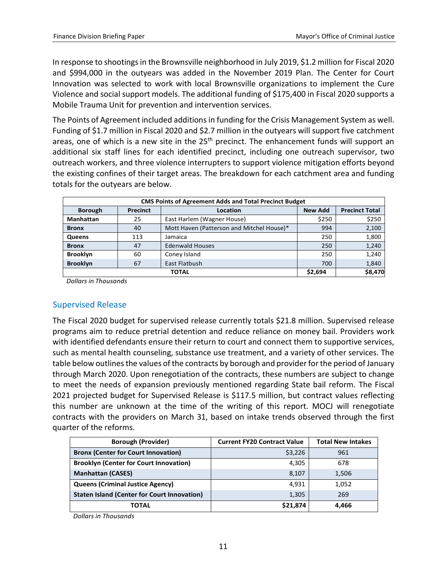In response to shootings in the Brownsville neighborhood in July 2019, \$1.2 million for Fiscal 2020 and \$994,000 in the outyears was added in the November 2019 Plan. The Center for Court Innovation was selected to work with local Brownsville organizations to implement the Cure Violence and social support models. The additional funding of \$175,400 in Fiscal 2020 supports a Mobile Trauma Unit for prevention and intervention services.

The Points of Agreement included additions in funding for the Crisis Management System as well. Funding of \$1.7 million in Fiscal 2020 and \$2.7 million in the outyears will support five catchment areas, one of which is a new site in the  $25<sup>th</sup>$  precinct. The enhancement funds will support an additional six staff lines for each identified precinct, including one outreach supervisor, two outreach workers, and three violence interrupters to support violence mitigation efforts beyond the existing confines of their target areas. The breakdown for each catchment area and funding totals for the outyears are below.

| <b>CMS Points of Agreement Adds and Total Precinct Budget</b> |                 |                                           |                |                       |  |  |
|---------------------------------------------------------------|-----------------|-------------------------------------------|----------------|-----------------------|--|--|
| <b>Borough</b>                                                | <b>Precinct</b> | Location                                  | <b>New Add</b> | <b>Precinct Total</b> |  |  |
| <b>Manhattan</b>                                              | 25              | East Harlem (Wagner House)                | \$250          | \$250                 |  |  |
| <b>Bronx</b>                                                  | 40              | Mott Haven (Patterson and Mitchel House)* | 994            | 2,100                 |  |  |
| <b>Queens</b>                                                 | 113             | Jamaica                                   | 250            | 1,800                 |  |  |
| <b>Bronx</b>                                                  | 47              | <b>Edenwald Houses</b>                    | 250            | 1,240                 |  |  |
| <b>Brooklyn</b>                                               | 60              | Coney Island                              | 250            | 1,240                 |  |  |
| <b>Brooklyn</b>                                               | 67              | East Flatbush                             | 700            | 1,840                 |  |  |
| \$2,694<br><b>TOTAL</b>                                       |                 |                                           |                |                       |  |  |

*Dollars in Thousands*

#### <span id="page-12-0"></span>Supervised Release

The Fiscal 2020 budget for supervised release currently totals \$21.8 million. Supervised release programs aim to reduce pretrial detention and reduce reliance on money bail. Providers work with identified defendants ensure their return to court and connect them to supportive services, such as mental health counseling, substance use treatment, and a variety of other services. The table below outlines the values of the contracts by borough and provider for the period of January through March 2020. Upon renegotiation of the contracts, these numbers are subject to change to meet the needs of expansion previously mentioned regarding State bail reform. The Fiscal 2021 projected budget for Supervised Release is \$117.5 million, but contract values reflecting this number are unknown at the time of the writing of this report. MOCJ will renegotiate contracts with the providers on March 31, based on intake trends observed through the first quarter of the reforms.

| <b>Borough (Provider)</b>                          | <b>Current FY20 Contract Value</b> | <b>Total New Intakes</b> |
|----------------------------------------------------|------------------------------------|--------------------------|
| <b>Bronx (Center for Court Innovation)</b>         | \$3,226                            | 961                      |
| <b>Brooklyn (Center for Court Innovation)</b>      | 4.305                              | 678                      |
| <b>Manhattan (CASES)</b>                           | 8,107                              | 1,506                    |
| <b>Queens (Criminal Justice Agency)</b>            | 4.931                              | 1,052                    |
| <b>Staten Island (Center for Court Innovation)</b> | 1,305                              | 269                      |
| TOTAL                                              | \$21,874                           | 4,466                    |

*Dollars in Thousands*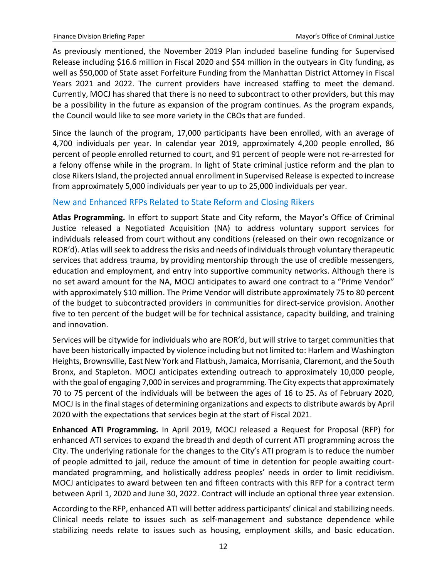As previously mentioned, the November 2019 Plan included baseline funding for Supervised Release including \$16.6 million in Fiscal 2020 and \$54 million in the outyears in City funding, as well as \$50,000 of State asset Forfeiture Funding from the Manhattan District Attorney in Fiscal Years 2021 and 2022. The current providers have increased staffing to meet the demand. Currently, MOCJ has shared that there is no need to subcontract to other providers, but this may be a possibility in the future as expansion of the program continues. As the program expands, the Council would like to see more variety in the CBOs that are funded.

Since the launch of the program, 17,000 participants have been enrolled, with an average of 4,700 individuals per year. In calendar year 2019, approximately 4,200 people enrolled, 86 percent of people enrolled returned to court, and 91 percent of people were not re-arrested for a felony offense while in the program. In light of State criminal justice reform and the plan to close Rikers Island, the projected annual enrollment in Supervised Release is expected to increase from approximately 5,000 individuals per year to up to 25,000 individuals per year.

#### <span id="page-13-0"></span>New and Enhanced RFPs Related to State Reform and Closing Rikers

**Atlas Programming.** In effort to support State and City reform, the Mayor's Office of Criminal Justice released a Negotiated Acquisition (NA) to address voluntary support services for individuals released from court without any conditions (released on their own recognizance or ROR'd). Atlas will seek to address the risks and needs of individuals through voluntary therapeutic services that address trauma, by providing mentorship through the use of credible messengers, education and employment, and entry into supportive community networks. Although there is no set award amount for the NA, MOCJ anticipates to award one contract to a "Prime Vendor" with approximately \$10 million. The Prime Vendor will distribute approximately 75 to 80 percent of the budget to subcontracted providers in communities for direct-service provision. Another five to ten percent of the budget will be for technical assistance, capacity building, and training and innovation.

Services will be citywide for individuals who are ROR'd, but will strive to target communities that have been historically impacted by violence including but not limited to: Harlem and Washington Heights, Brownsville, East New York and Flatbush, Jamaica, Morrisania, Claremont, and the South Bronx, and Stapleton. MOCJ anticipates extending outreach to approximately 10,000 people, with the goal of engaging 7,000 in services and programming. The City expects that approximately 70 to 75 percent of the individuals will be between the ages of 16 to 25. As of February 2020, MOCJ is in the final stages of determining organizations and expects to distribute awards by April 2020 with the expectations that services begin at the start of Fiscal 2021.

**Enhanced ATI Programming.** In April 2019, MOCJ released a Request for Proposal (RFP) for enhanced ATI services to expand the breadth and depth of current ATI programming across the City. The underlying rationale for the changes to the City's ATI program is to reduce the number of people admitted to jail, reduce the amount of time in detention for people awaiting courtmandated programming, and holistically address peoples' needs in order to limit recidivism. MOCJ anticipates to award between ten and fifteen contracts with this RFP for a contract term between April 1, 2020 and June 30, 2022. Contract will include an optional three year extension.

According to the RFP, enhanced ATI will better address participants' clinical and stabilizing needs. Clinical needs relate to issues such as self-management and substance dependence while stabilizing needs relate to issues such as housing, employment skills, and basic education.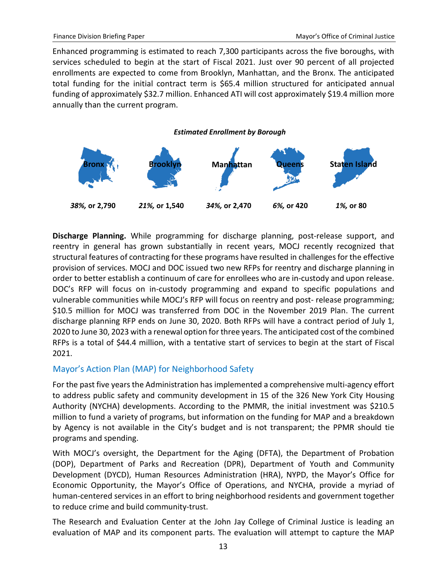Enhanced programming is estimated to reach 7,300 participants across the five boroughs, with services scheduled to begin at the start of Fiscal 2021. Just over 90 percent of all projected enrollments are expected to come from Brooklyn, Manhattan, and the Bronx. The anticipated total funding for the initial contract term is \$65.4 million structured for anticipated annual funding of approximately \$32.7 million. Enhanced ATI will cost approximately \$19.4 million more annually than the current program.



**Discharge Planning.** While programming for discharge planning, post-release support, and reentry in general has grown substantially in recent years, MOCJ recently recognized that structural features of contracting for these programs have resulted in challenges for the effective provision of services. MOCJ and DOC issued two new RFPs for reentry and discharge planning in order to better establish a continuum of care for enrollees who are in-custody and upon release. DOC's RFP will focus on in-custody programming and expand to specific populations and vulnerable communities while MOCJ's RFP will focus on reentry and post- release programming; \$10.5 million for MOCJ was transferred from DOC in the November 2019 Plan. The current discharge planning RFP ends on June 30, 2020. Both RFPs will have a contract period of July 1, 2020 to June 30, 2023 with a renewal option for three years. The anticipated cost of the combined RFPs is a total of \$44.4 million, with a tentative start of services to begin at the start of Fiscal 2021.

#### <span id="page-14-0"></span>Mayor's Action Plan (MAP) for Neighborhood Safety

For the past five years the Administration has implemented a comprehensive multi-agency effort to address public safety and community development in 15 of the 326 New York City Housing Authority (NYCHA) developments. According to the PMMR, the initial investment was \$210.5 million to fund a variety of programs, but information on the funding for MAP and a breakdown by Agency is not available in the City's budget and is not transparent; the PPMR should tie programs and spending.

With MOCJ's oversight, the Department for the Aging (DFTA), the Department of Probation (DOP), Department of Parks and Recreation (DPR), Department of Youth and Community Development (DYCD), Human Resources Administration (HRA), NYPD, the Mayor's Office for Economic Opportunity, the Mayor's Office of Operations, and NYCHA, provide a myriad of human-centered services in an effort to bring neighborhood residents and government together to reduce crime and build community-trust.

The Research and Evaluation Center at the John Jay College of Criminal Justice is leading an evaluation of MAP and its component parts. The evaluation will attempt to capture the MAP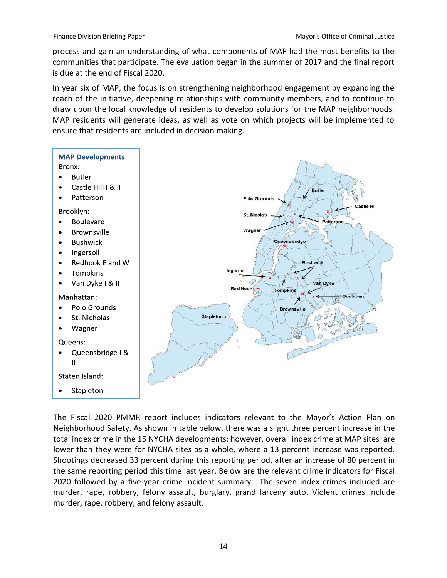process and gain an understanding of what components of MAP had the most benefits to the communities that participate. The evaluation began in the summer of 2017 and the final report is due at the end of Fiscal 2020.

In year six of MAP, the focus is on strengthening neighborhood engagement by expanding the reach of the initiative, deepening relationships with community members, and to continue to draw upon the local knowledge of residents to develop solutions for the MAP neighborhoods. MAP residents will generate ideas, as well as vote on which projects will be implemented to ensure that residents are included in decision making.



The Fiscal 2020 PMMR report includes indicators relevant to the Mayor's Action Plan on Neighborhood Safety. As shown in table below, there was a slight three percent increase in the total index crime in the 15 NYCHA developments; however, overall index crime at MAP sites are lower than they were for NYCHA sites as a whole, where a 13 percent increase was reported. Shootings decreased 33 percent during this reporting period, after an increase of 80 percent in the same reporting period this time last year. Below are the relevant crime indicators for Fiscal 2020 followed by a five-year crime incident summary. The seven index crimes included are murder, rape, robbery, felony assault, burglary, grand larceny auto. Violent crimes include murder, rape, robbery, and felony assault.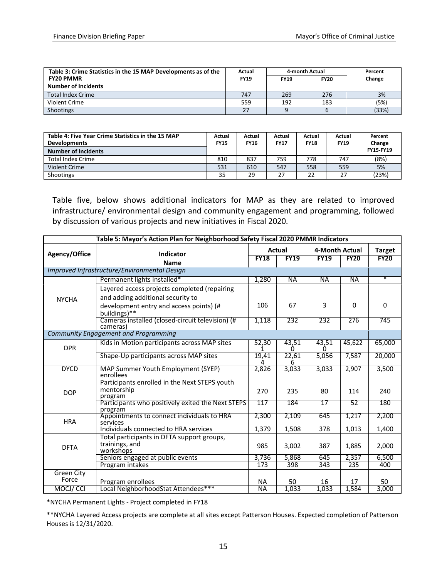| Table 3: Crime Statistics in the 15 MAP Developments as of the | Actual      | 4-month Actual             |     | Percent |
|----------------------------------------------------------------|-------------|----------------------------|-----|---------|
| <b>FY20 PMMR</b>                                               | <b>FY19</b> | <b>FY20</b><br><b>FY19</b> |     | Change  |
| <b>Number of Incidents</b>                                     |             |                            |     |         |
| Total Index Crime                                              | 747         | 269                        | 276 | 3%      |
| Violent Crime                                                  | 559         | 192                        | 183 | (5%)    |
| Shootings                                                      | 27          |                            |     | (33%)   |

| Table 4: Five Year Crime Statistics in the 15 MAP<br><b>Developments</b><br><b>Number of Incidents</b> | Actual<br><b>FY15</b> | Actual<br><b>FY16</b> | Actual<br><b>FY17</b> | Actual<br><b>FY18</b> | Actual<br><b>FY19</b> | Percent<br>Change<br>FY15-FY19 |
|--------------------------------------------------------------------------------------------------------|-----------------------|-----------------------|-----------------------|-----------------------|-----------------------|--------------------------------|
| Total Index Crime                                                                                      | 810                   | 837                   | 759                   | 778                   | 747                   | (8%)                           |
| Violent Crime                                                                                          | 531                   | 610                   | 547                   | 558                   | 559                   | 5%                             |
| Shootings                                                                                              | 35                    | 29                    | 27                    | 22                    | 27                    | (23%)                          |

Table five, below shows additional indicators for MAP as they are related to improved infrastructure/ environmental design and community engagement and programming, followed by discussion of various projects and new initiatives in Fiscal 2020.

| Table 5: Mayor's Action Plan for Neighborhood Safety Fiscal 2020 PMMR Indicators |                                                                                   |             |             |                 |             |               |
|----------------------------------------------------------------------------------|-----------------------------------------------------------------------------------|-------------|-------------|-----------------|-------------|---------------|
| Agency/Office                                                                    | <b>Indicator</b>                                                                  |             | Actual      | 4-Month Actual  |             | <b>Target</b> |
|                                                                                  | <b>Name</b>                                                                       | <b>FY18</b> | <b>FY19</b> | <b>FY19</b>     | <b>FY20</b> | <b>FY20</b>   |
|                                                                                  | Improved Infrastructure/Environmental Design                                      |             |             |                 |             |               |
|                                                                                  | Permanent lights installed*                                                       | 1,280       | <b>NA</b>   | <b>NA</b>       | <b>NA</b>   | ¥             |
| <b>NYCHA</b>                                                                     | Layered access projects completed (repairing<br>and adding additional security to |             |             |                 |             |               |
|                                                                                  | development entry and access points) (#<br>buildings)**                           | 106         | 67          | 3               | $\Omega$    | $\Omega$      |
|                                                                                  | Cameras installed (closed-circuit television) (#<br>cameras)                      | 1,118       | 232         | 232             | 276         | 745           |
|                                                                                  | <b>Community Engagement and Programming</b>                                       |             |             |                 |             |               |
| <b>DPR</b>                                                                       | Kids in Motion participants across MAP sites                                      | 52,30       | 43,51<br>0  | 43,51<br>0      | 45,622      | 65,000        |
|                                                                                  | Shape-Up participants across MAP sites                                            | 19,41<br>4  | 22,61<br>6  | 5,056           | 7,587       | 20,000        |
| <b>DYCD</b>                                                                      | <b>MAP Summer Youth Employment (SYEP)</b><br>enrollees                            | 2,826       | 3,033       | 3,033           | 2,907       | 3,500         |
| <b>DOP</b>                                                                       | Participants enrolled in the Next STEPS youth<br>mentorship<br>program            | 270         | 235         | 80              | 114         | 240           |
|                                                                                  | Participants who positively exited the Next STEPS<br>program                      | 117         | 184         | $\overline{17}$ | 52          | 180           |
| <b>HRA</b>                                                                       | Appointments to connect individuals to HRA<br>services                            | 2,300       | 2,109       | 645             | 1,217       | 2,200         |
|                                                                                  | Individuals connected to HRA services                                             | 1,379       | 1,508       | 378             | 1,013       | 1,400         |
| <b>DFTA</b>                                                                      | Total participants in DFTA support groups,<br>trainings, and<br>workshops         | 985         | 3,002       | 387             | 1,885       | 2,000         |
|                                                                                  | Seniors engaged at public events                                                  | 3,736       | 5,868       | 645             | 2,357       | 6,500         |
|                                                                                  | Program intakes                                                                   | 173         | 398         | 343             | 235         | 400           |
| Green City<br>Force                                                              | Program enrollees                                                                 | NА          | 50          | 16              | 17          | 50            |
| <b>MOCI</b> CCI                                                                  | Local NeighborhoodStat Attendees***                                               | <b>NA</b>   | 1,033       | 1,033           | 1,584       | 3,000         |

\*NYCHA Permanent Lights - Project completed in FY18

\*\*NYCHA Layered Access projects are complete at all sites except Patterson Houses. Expected completion of Patterson Houses is 12/31/2020.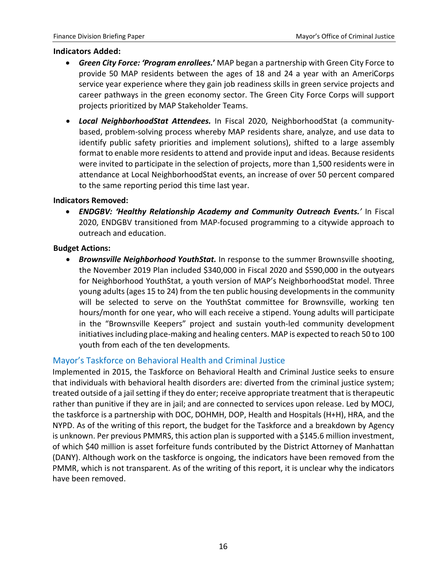#### **Indicators Added:**

- *Green City Force: 'Program enrollees.***'** MAP began a partnership with Green City Force to provide 50 MAP residents between the ages of 18 and 24 a year with an AmeriCorps service year experience where they gain job readiness skills in green service projects and career pathways in the green economy sector. The Green City Force Corps will support projects prioritized by MAP Stakeholder Teams.
- *Local NeighborhoodStat Attendees.* In Fiscal 2020, NeighborhoodStat (a communitybased, problem-solving process whereby MAP residents share, analyze, and use data to identify public safety priorities and implement solutions), shifted to a large assembly format to enable more residents to attend and provide input and ideas. Because residents were invited to participate in the selection of projects, more than 1,500 residents were in attendance at Local NeighborhoodStat events, an increase of over 50 percent compared to the same reporting period this time last year.

#### **Indicators Removed:**

• *ENDGBV: 'Healthy Relationship Academy and Community Outreach Events.'* In Fiscal 2020, ENDGBV transitioned from MAP-focused programming to a citywide approach to outreach and education.

#### **Budget Actions:**

• *Brownsville Neighborhood YouthStat.* In response to the summer Brownsville shooting, the November 2019 Plan included \$340,000 in Fiscal 2020 and \$590,000 in the outyears for Neighborhood YouthStat, a youth version of MAP's NeighborhoodStat model. Three young adults (ages 15 to 24) from the ten public housing developments in the community will be selected to serve on the YouthStat committee for Brownsville, working ten hours/month for one year, who will each receive a stipend. Young adults will participate in the "Brownsville Keepers" project and sustain youth-led community development initiatives including place-making and healing centers. MAP is expected to reach 50 to 100 youth from each of the ten developments.

#### <span id="page-17-0"></span>Mayor's Taskforce on Behavioral Health and Criminal Justice

Implemented in 2015, the Taskforce on Behavioral Health and Criminal Justice seeks to ensure that individuals with behavioral health disorders are: diverted from the criminal justice system; treated outside of a jail setting if they do enter; receive appropriate treatment that is therapeutic rather than punitive if they are in jail; and are connected to services upon release. Led by MOCJ, the taskforce is a partnership with DOC, DOHMH, DOP, Health and Hospitals (H+H), HRA, and the NYPD. As of the writing of this report, the budget for the Taskforce and a breakdown by Agency is unknown. Per previous PMMRS, this action plan is supported with a \$145.6 million investment, of which \$40 million is asset forfeiture funds contributed by the District Attorney of Manhattan (DANY). Although work on the taskforce is ongoing, the indicators have been removed from the PMMR, which is not transparent. As of the writing of this report, it is unclear why the indicators have been removed.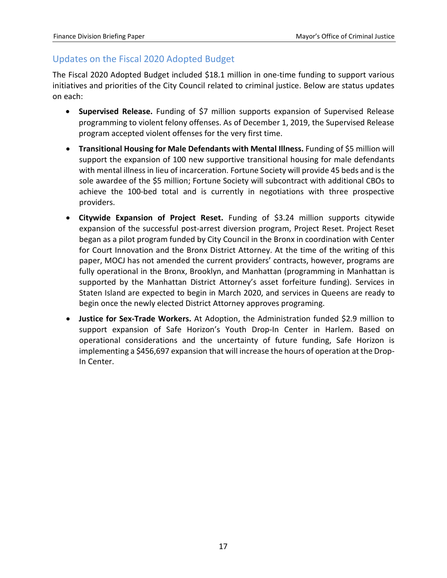## <span id="page-18-0"></span>Updates on the Fiscal 2020 Adopted Budget

The Fiscal 2020 Adopted Budget included \$18.1 million in one-time funding to support various initiatives and priorities of the City Council related to criminal justice. Below are status updates on each:

- **Supervised Release.** Funding of \$7 million supports expansion of Supervised Release programming to violent felony offenses. As of December 1, 2019, the Supervised Release program accepted violent offenses for the very first time.
- **Transitional Housing for Male Defendants with Mental Illness.** Funding of \$5 million will support the expansion of 100 new supportive transitional housing for male defendants with mental illness in lieu of incarceration. Fortune Society will provide 45 beds and is the sole awardee of the \$5 million; Fortune Society will subcontract with additional CBOs to achieve the 100-bed total and is currently in negotiations with three prospective providers.
- **Citywide Expansion of Project Reset.** Funding of \$3.24 million supports citywide expansion of the successful post-arrest diversion program, Project Reset. Project Reset began as a pilot program funded by City Council in the Bronx in coordination with Center for Court Innovation and the Bronx District Attorney. At the time of the writing of this paper, MOCJ has not amended the current providers' contracts, however, programs are fully operational in the Bronx, Brooklyn, and Manhattan (programming in Manhattan is supported by the Manhattan District Attorney's asset forfeiture funding). Services in Staten Island are expected to begin in March 2020, and services in Queens are ready to begin once the newly elected District Attorney approves programing.
- <span id="page-18-1"></span>• **Justice for Sex-Trade Workers.** At Adoption, the Administration funded \$2.9 million to support expansion of Safe Horizon's Youth Drop-In Center in Harlem. Based on operational considerations and the uncertainty of future funding, Safe Horizon is implementing a \$456,697 expansion that will increase the hours of operation at the Drop-In Center.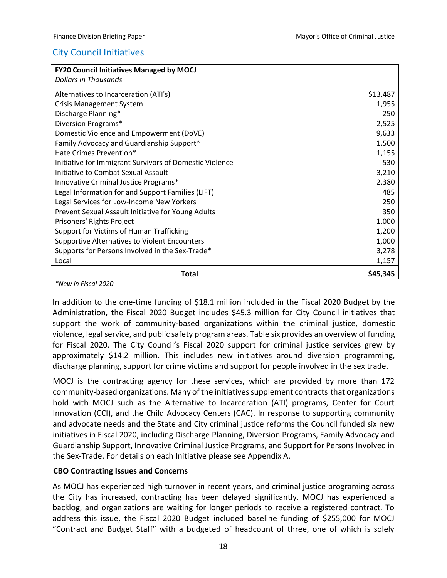### City Council Initiatives

| <b>FY20 Council Initiatives Managed by MOCJ</b>         |          |
|---------------------------------------------------------|----------|
| <b>Dollars in Thousands</b>                             |          |
| Alternatives to Incarceration (ATI's)                   | \$13,487 |
| <b>Crisis Management System</b>                         | 1,955    |
| Discharge Planning*                                     | 250      |
| Diversion Programs*                                     | 2,525    |
| Domestic Violence and Empowerment (DoVE)                | 9,633    |
| Family Advocacy and Guardianship Support*               | 1,500    |
| Hate Crimes Prevention*                                 | 1,155    |
| Initiative for Immigrant Survivors of Domestic Violence | 530      |
| Initiative to Combat Sexual Assault                     | 3,210    |
| Innovative Criminal Justice Programs*                   | 2,380    |
| Legal Information for and Support Families (LIFT)       | 485      |
| Legal Services for Low-Income New Yorkers               | 250      |
| Prevent Sexual Assault Initiative for Young Adults      | 350      |
| Prisoners' Rights Project                               | 1,000    |
| Support for Victims of Human Trafficking                | 1,200    |
| Supportive Alternatives to Violent Encounters           | 1,000    |
| Supports for Persons Involved in the Sex-Trade*         | 3,278    |
| Local                                                   | 1,157    |
| Total                                                   | \$45,345 |

*\*New in Fiscal 2020*

In addition to the one-time funding of \$18.1 million included in the Fiscal 2020 Budget by the Administration, the Fiscal 2020 Budget includes \$45.3 million for City Council initiatives that support the work of community-based organizations within the criminal justice, domestic violence, legal service, and public safety program areas. Table six provides an overview of funding for Fiscal 2020. The City Council's Fiscal 2020 support for criminal justice services grew by approximately \$14.2 million. This includes new initiatives around diversion programming, discharge planning, support for crime victims and support for people involved in the sex trade.

MOCJ is the contracting agency for these services, which are provided by more than 172 community-based organizations. Many of the initiatives supplement contracts that organizations hold with MOCJ such as the Alternative to Incarceration (ATI) programs, Center for Court Innovation (CCI), and the Child Advocacy Centers (CAC). In response to supporting community and advocate needs and the State and City criminal justice reforms the Council funded six new initiatives in Fiscal 2020, including Discharge Planning, Diversion Programs, Family Advocacy and Guardianship Support, Innovative Criminal Justice Programs, and Support for Persons Involved in the Sex-Trade. For details on each Initiative please see Appendix A.

#### **CBO Contracting Issues and Concerns**

As MOCJ has experienced high turnover in recent years, and criminal justice programing across the City has increased, contracting has been delayed significantly. MOCJ has experienced a backlog, and organizations are waiting for longer periods to receive a registered contract. To address this issue, the Fiscal 2020 Budget included baseline funding of \$255,000 for MOCJ "Contract and Budget Staff" with a budgeted of headcount of three, one of which is solely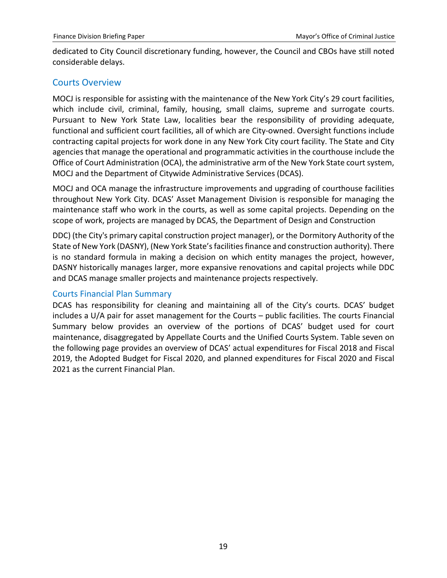dedicated to City Council discretionary funding, however, the Council and CBOs have still noted considerable delays.

#### <span id="page-20-0"></span>Courts Overview

MOCJ is responsible for assisting with the maintenance of the New York City's 29 court facilities, which include civil, criminal, family, housing, small claims, supreme and surrogate courts. Pursuant to New York State Law, localities bear the responsibility of providing adequate, functional and sufficient court facilities, all of which are City-owned. Oversight functions include contracting capital projects for work done in any New York City court facility. The State and City agencies that manage the operational and programmatic activities in the courthouse include the Office of Court Administration (OCA), the administrative arm of the New York State court system, MOCJ and the Department of Citywide Administrative Services (DCAS).

MOCJ and OCA manage the infrastructure improvements and upgrading of courthouse facilities throughout New York City. DCAS' Asset Management Division is responsible for managing the maintenance staff who work in the courts, as well as some capital projects. Depending on the scope of work, projects are managed by DCAS, the Department of Design and Construction

DDC) (the City's primary capital construction project manager), or the Dormitory Authority of the State of New York (DASNY), (New York State's facilities finance and construction authority). There is no standard formula in making a decision on which entity manages the project, however, DASNY historically manages larger, more expansive renovations and capital projects while DDC and DCAS manage smaller projects and maintenance projects respectively.

#### <span id="page-20-1"></span>Courts Financial Plan Summary

DCAS has responsibility for cleaning and maintaining all of the City's courts. DCAS' budget includes a U/A pair for asset management for the Courts – public facilities. The courts Financial Summary below provides an overview of the portions of DCAS' budget used for court maintenance, disaggregated by Appellate Courts and the Unified Courts System. Table seven on the following page provides an overview of DCAS' actual expenditures for Fiscal 2018 and Fiscal 2019, the Adopted Budget for Fiscal 2020, and planned expenditures for Fiscal 2020 and Fiscal 2021 as the current Financial Plan.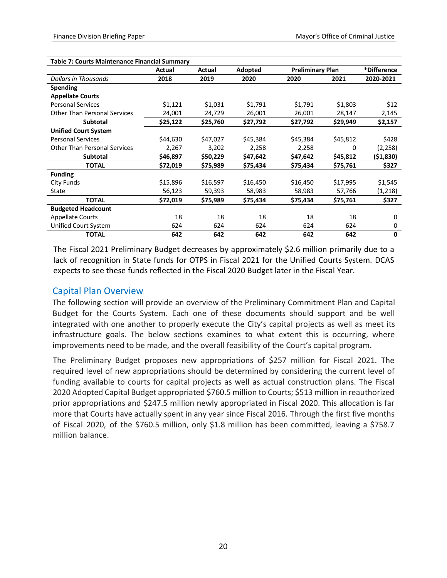| <b>Table 7: Courts Maintenance Financial Summary</b> |          |          |          |                         |          |             |  |  |
|------------------------------------------------------|----------|----------|----------|-------------------------|----------|-------------|--|--|
|                                                      | Actual   | Actual   | Adopted  | <b>Preliminary Plan</b> |          | *Difference |  |  |
| <b>Dollars in Thousands</b>                          | 2018     | 2019     | 2020     | 2020                    | 2021     | 2020-2021   |  |  |
| <b>Spending</b>                                      |          |          |          |                         |          |             |  |  |
| <b>Appellate Courts</b>                              |          |          |          |                         |          |             |  |  |
| <b>Personal Services</b>                             | \$1,121  | \$1,031  | \$1,791  | \$1,791                 | \$1,803  | \$12        |  |  |
| <b>Other Than Personal Services</b>                  | 24,001   | 24,729   | 26,001   | 26,001                  | 28,147   | 2,145       |  |  |
| Subtotal                                             | \$25,122 | \$25,760 | \$27,792 | \$27,792                | \$29,949 | \$2,157     |  |  |
| <b>Unified Court System</b>                          |          |          |          |                         |          |             |  |  |
| <b>Personal Services</b>                             | \$44,630 | \$47,027 | \$45,384 | \$45,384                | \$45,812 | \$428       |  |  |
| <b>Other Than Personal Services</b>                  | 2,267    | 3,202    | 2,258    | 2,258                   | 0        | (2,258)     |  |  |
| Subtotal                                             | \$46,897 | \$50,229 | \$47,642 | \$47,642                | \$45,812 | (\$1,830)   |  |  |
| <b>TOTAL</b>                                         | \$72,019 | \$75,989 | \$75,434 | \$75,434                | \$75,761 | \$327       |  |  |
| <b>Funding</b>                                       |          |          |          |                         |          |             |  |  |
| City Funds                                           | \$15,896 | \$16,597 | \$16,450 | \$16,450                | \$17,995 | \$1,545     |  |  |
| State                                                | 56,123   | 59,393   | 58,983   | 58,983                  | 57,766   | (1,218)     |  |  |
| <b>TOTAL</b>                                         | \$72,019 | \$75,989 | \$75,434 | \$75,434                | \$75,761 | \$327       |  |  |
| <b>Budgeted Headcount</b>                            |          |          |          |                         |          |             |  |  |
| <b>Appellate Courts</b>                              | 18       | 18       | 18       | 18                      | 18       | 0           |  |  |
| Unified Court System                                 | 624      | 624      | 624      | 624                     | 624      | 0           |  |  |
| <b>TOTAL</b>                                         | 642      | 642      | 642      | 642                     | 642      | 0           |  |  |

The Fiscal 2021 Preliminary Budget decreases by approximately \$2.6 million primarily due to a lack of recognition in State funds for OTPS in Fiscal 2021 for the Unified Courts System. DCAS expects to see these funds reflected in the Fiscal 2020 Budget later in the Fiscal Year.

#### <span id="page-21-0"></span>Capital Plan Overview

The following section will provide an overview of the Preliminary Commitment Plan and Capital Budget for the Courts System. Each one of these documents should support and be well integrated with one another to properly execute the City's capital projects as well as meet its infrastructure goals. The below sections examines to what extent this is occurring, where improvements need to be made, and the overall feasibility of the Court's capital program.

<span id="page-21-1"></span>The Preliminary Budget proposes new appropriations of \$257 million for Fiscal 2021. The required level of new appropriations should be determined by considering the current level of funding available to courts for capital projects as well as actual construction plans. The Fiscal 2020 Adopted Capital Budget appropriated \$760.5 million to Courts; \$513 million in reauthorized prior appropriations and \$247.5 million newly appropriated in Fiscal 2020. This allocation is far more that Courts have actually spent in any year since Fiscal 2016. Through the first five months of Fiscal 2020, of the \$760.5 million, only \$1.8 million has been committed, leaving a \$758.7 million balance.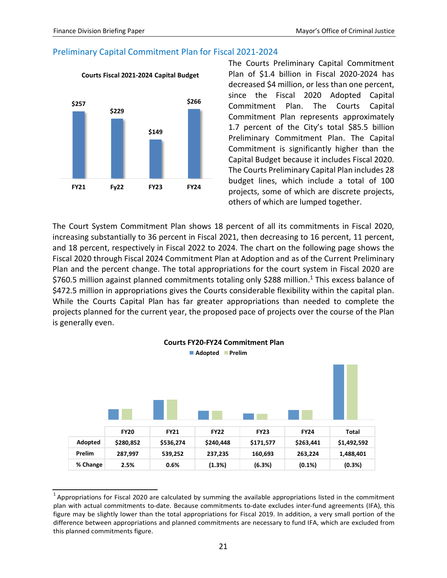#### Preliminary Capital Commitment Plan for Fiscal 2021-2024



**Courts Fiscal 2021-2024 Capital Budget**

The Courts Preliminary Capital Commitment Plan of \$1.4 billion in Fiscal 2020-2024 has decreased \$4 million, or less than one percent, since the Fiscal 2020 Adopted Capital Commitment Plan. The Courts Capital Commitment Plan represents approximately 1.7 percent of the City's total \$85.5 billion Preliminary Commitment Plan. The Capital Commitment is significantly higher than the Capital Budget because it includes Fiscal 2020. The Courts Preliminary Capital Plan includes 28 budget lines, which include a total of 100 projects, some of which are discrete projects, others of which are lumped together.

The Court System Commitment Plan shows 18 percent of all its commitments in Fiscal 2020, increasing substantially to 36 percent in Fiscal 2021, then decreasing to 16 percent, 11 percent, and 18 percent, respectively in Fiscal 2022 to 2024. The chart on the following page shows the Fiscal 2020 through Fiscal 2024 Commitment Plan at Adoption and as of the Current Preliminary Plan and the percent change. The total appropriations for the court system in Fiscal 2020 are \$760.5 million against planned commitments totaling only \$288 million.1 This excess balance of \$472.5 million in appropriations gives the Courts considerable flexibility within the capital plan. While the Courts Capital Plan has far greater appropriations than needed to complete the projects planned for the current year, the proposed pace of projects over the course of the Plan is generally even.



 $1$  Appropriations for Fiscal 2020 are calculated by summing the available appropriations listed in the commitment plan with actual commitments to-date. Because commitments to-date excludes inter-fund agreements (IFA), this figure may be slightly lower than the total appropriations for Fiscal 2019. In addition, a very small portion of the difference between appropriations and planned commitments are necessary to fund IFA, which are excluded from this planned commitments figure.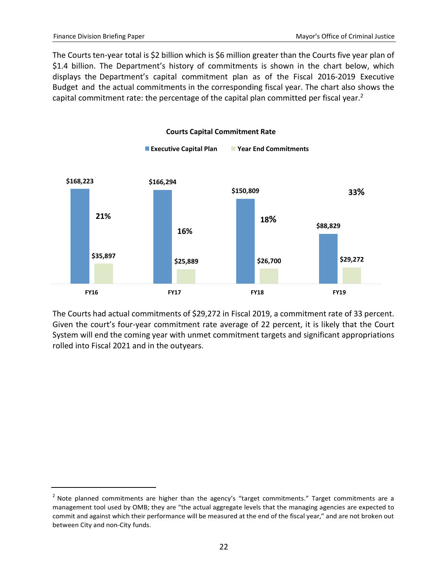The Courts ten-year total is \$2 billion which is \$6 million greater than the Courts five year plan of \$1.4 billion. The Department's history of commitments is shown in the chart below, which displays the Department's capital commitment plan as of the Fiscal 2016-2019 Executive Budget and the actual commitments in the corresponding fiscal year. The chart also shows the capital commitment rate: the percentage of the capital plan committed per fiscal year.<sup>2</sup>



The Courts had actual commitments of \$29,272 in Fiscal 2019, a commitment rate of 33 percent. Given the court's four-year commitment rate average of 22 percent, it is likely that the Court System will end the coming year with unmet commitment targets and significant appropriations rolled into Fiscal 2021 and in the outyears.

 $2$  Note planned commitments are higher than the agency's "target commitments." Target commitments are a management tool used by OMB; they are "the actual aggregate levels that the managing agencies are expected to commit and against which their performance will be measured at the end of the fiscal year," and are not broken out between City and non-City funds.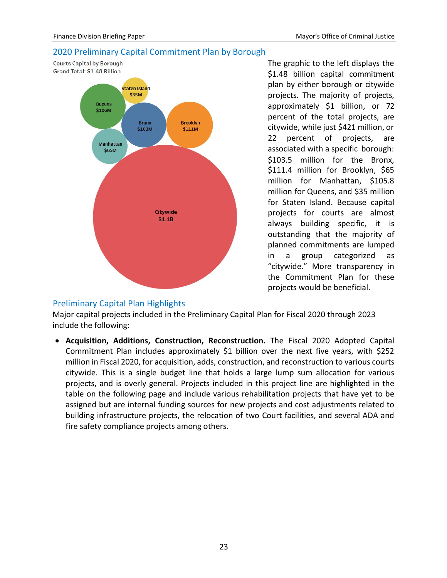#### <span id="page-24-0"></span>2020 Preliminary Capital Commitment Plan by Borough

Courts Capital by Borough Grand Total: \$1.48 Billion



The graphic to the left displays the \$1.48 billion capital commitment plan by either borough or citywide projects. The majority of projects, approximately \$1 billion, or 72 percent of the total projects, are citywide, while just \$421 million, or 22 percent of projects, are associated with a specific borough: \$103.5 million for the Bronx, \$111.4 million for Brooklyn, \$65 million for Manhattan, \$105.8 million for Queens, and \$35 million for Staten Island. Because capital projects for courts are almost always building specific, it is outstanding that the majority of planned commitments are lumped in a group categorized as "citywide." More transparency in the Commitment Plan for these projects would be beneficial.

### <span id="page-24-1"></span>Preliminary Capital Plan Highlights

Major capital projects included in the Preliminary Capital Plan for Fiscal 2020 through 2023 include the following:

• **Acquisition, Additions, Construction, Reconstruction.** The Fiscal 2020 Adopted Capital Commitment Plan includes approximately \$1 billion over the next five years, with \$252 million in Fiscal 2020, for acquisition, adds, construction, and reconstruction to various courts citywide. This is a single budget line that holds a large lump sum allocation for various projects, and is overly general. Projects included in this project line are highlighted in the table on the following page and include various rehabilitation projects that have yet to be assigned but are internal funding sources for new projects and cost adjustments related to building infrastructure projects, the relocation of two Court facilities, and several ADA and fire safety compliance projects among others.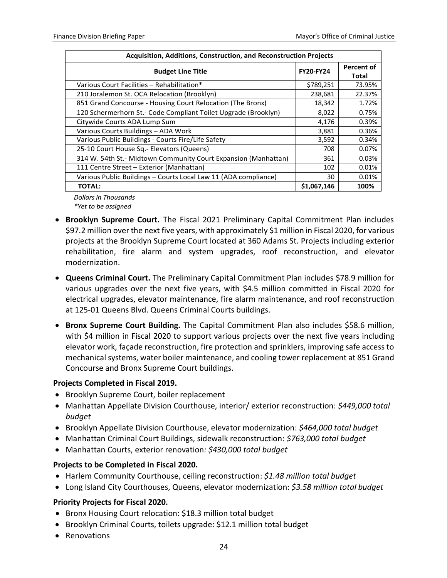| Acquisition, Additions, Construction, and Reconstruction Projects |                  |                            |  |  |  |  |  |
|-------------------------------------------------------------------|------------------|----------------------------|--|--|--|--|--|
| <b>Budget Line Title</b>                                          | <b>FY20-FY24</b> | <b>Percent of</b><br>Total |  |  |  |  |  |
| Various Court Facilities - Rehabilitation*                        | \$789,251        | 73.95%                     |  |  |  |  |  |
| 210 Joralemon St. OCA Relocation (Brooklyn)                       | 238,681          | 22.37%                     |  |  |  |  |  |
| 851 Grand Concourse - Housing Court Relocation (The Bronx)        | 18,342           | 1.72%                      |  |  |  |  |  |
| 120 Schermerhorn St.- Code Compliant Toilet Upgrade (Brooklyn)    | 8,022            | 0.75%                      |  |  |  |  |  |
| Citywide Courts ADA Lump Sum                                      | 4,176            | 0.39%                      |  |  |  |  |  |
| Various Courts Buildings - ADA Work                               | 3,881            | 0.36%                      |  |  |  |  |  |
| Various Public Buildings - Courts Fire/Life Safety                | 3,592            | 0.34%                      |  |  |  |  |  |
| 25-10 Court House Sq. - Elevators (Queens)                        | 708              | 0.07%                      |  |  |  |  |  |
| 314 W. 54th St.- Midtown Community Court Expansion (Manhattan)    | 361              | 0.03%                      |  |  |  |  |  |
| 111 Centre Street – Exterior (Manhattan)                          | 102              | 0.01%                      |  |  |  |  |  |
| Various Public Buildings - Courts Local Law 11 (ADA compliance)   | 30               | 0.01%                      |  |  |  |  |  |
| <b>TOTAL:</b>                                                     | \$1,067,146      | 100%                       |  |  |  |  |  |
|                                                                   |                  |                            |  |  |  |  |  |

Dollars in Thousands \*Yet to be assianed

- **Brooklyn Supreme Court.** The Fiscal 2021 Preliminary Capital Commitment Plan includes \$97.2 million over the next five years, with approximately \$1 million in Fiscal 2020, for various projects at the Brooklyn Supreme Court located at 360 Adams St. Projects including exterior rehabilitation, fire alarm and system upgrades, roof reconstruction, and elevator modernization.
- **Queens Criminal Court.** The Preliminary Capital Commitment Plan includes \$78.9 million for various upgrades over the next five years, with \$4.5 million committed in Fiscal 2020 for electrical upgrades, elevator maintenance, fire alarm maintenance, and roof reconstruction at 125-01 Queens Blvd. Queens Criminal Courts buildings.
- **Bronx Supreme Court Building.** The Capital Commitment Plan also includes \$58.6 million, with \$4 million in Fiscal 2020 to support various projects over the next five years including elevator work, façade reconstruction, fire protection and sprinklers, improving safe access to mechanical systems, water boiler maintenance, and cooling tower replacement at 851 Grand Concourse and Bronx Supreme Court buildings.

#### **Projects Completed in Fiscal 2019.**

- Brooklyn Supreme Court, boiler replacement
- Manhattan Appellate Division Courthouse, interior/ exterior reconstruction: *\$449,000 total budget*
- Brooklyn Appellate Division Courthouse, elevator modernization: *\$464,000 total budget*
- Manhattan Criminal Court Buildings, sidewalk reconstruction: *\$763,000 total budget*
- Manhattan Courts, exterior renovation*: \$430,000 total budget*

#### **Projects to be Completed in Fiscal 2020.**

- Harlem Community Courthouse, ceiling reconstruction: *\$1.48 million total budget*
- Long Island City Courthouses, Queens, elevator modernization: *\$3.58 million total budget*

### **Priority Projects for Fiscal 2020.**

- Bronx Housing Court relocation: \$18.3 million total budget
- Brooklyn Criminal Courts, toilets upgrade: \$12.1 million total budget
- Renovations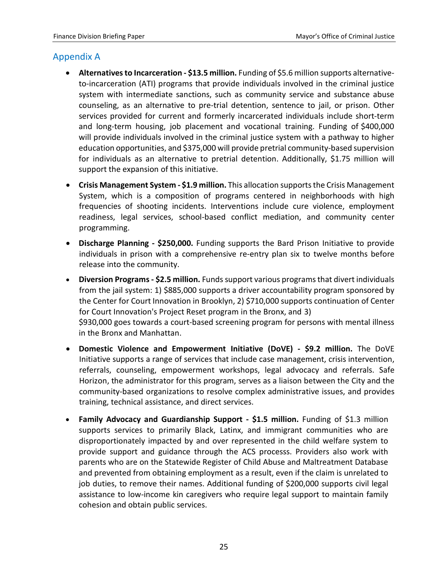## <span id="page-26-0"></span>Appendix A

- **Alternatives to Incarceration - \$13.5 million.** Funding of \$5.6 million supports alternativeto-incarceration (ATI) programs that provide individuals involved in the criminal justice system with intermediate sanctions, such as community service and substance abuse counseling, as an alternative to pre-trial detention, sentence to jail, or prison. Other services provided for current and formerly incarcerated individuals include short-term and long-term housing, job placement and vocational training. Funding of \$400,000 will provide individuals involved in the criminal justice system with a pathway to higher education opportunities, and \$375,000 will provide pretrial community-based supervision for individuals as an alternative to pretrial detention. Additionally, \$1.75 million will support the expansion of this initiative.
- **Crisis Management System - \$1.9 million.** This allocation supports the Crisis Management System, which is a composition of programs centered in neighborhoods with high frequencies of shooting incidents. Interventions include cure violence, employment readiness, legal services, school-based conflict mediation, and community center programming.
- **Discharge Planning - \$250,000.** Funding supports the Bard Prison Initiative to provide individuals in prison with a comprehensive re-entry plan six to twelve months before release into the community.
- **Diversion Programs - \$2.5 million.** Funds support various programs that divert individuals from the jail system: 1) \$885,000 supports a driver accountability program sponsored by the Center for Court Innovation in Brooklyn, 2) \$710,000 supports continuation of Center for Court Innovation's Project Reset program in the Bronx, and 3) \$930,000 goes towards a court-based screening program for persons with mental illness in the Bronx and Manhattan.
- **Domestic Violence and Empowerment Initiative (DoVE) - \$9.2 million.** The DoVE Initiative supports a range of services that include case management, crisis intervention, referrals, counseling, empowerment workshops, legal advocacy and referrals. Safe Horizon, the administrator for this program, serves as a liaison between the City and the community-based organizations to resolve complex administrative issues, and provides training, technical assistance, and direct services.
- **Family Advocacy and Guardianship Support - \$1.5 million.** Funding of \$1.3 million supports services to primarily Black, Latinx, and immigrant communities who are disproportionately impacted by and over represented in the child welfare system to provide support and guidance through the ACS processs. Providers also work with parents who are on the Statewide Register of Child Abuse and Maltreatment Database and prevented from obtaining employment as a result, even if the claim is unrelated to job duties, to remove their names. Additional funding of \$200,000 supports civil legal assistance to low-income kin caregivers who require legal support to maintain family cohesion and obtain public services.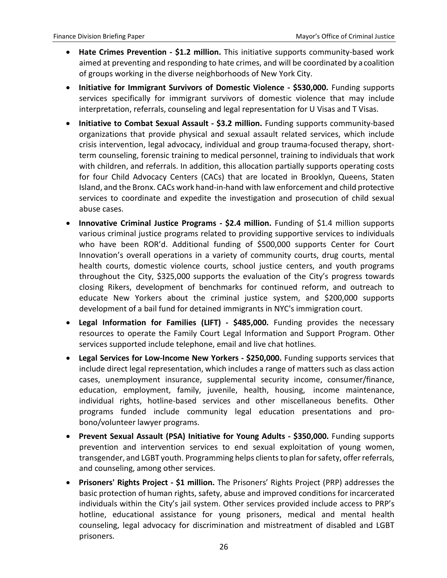- **Hate Crimes Prevention - \$1.2 million.** This initiative supports community-based work aimed at preventing and responding to hate crimes, and will be coordinated by a coalition of groups working in the diverse neighborhoods of New York City.
- **Initiative for Immigrant Survivors of Domestic Violence - \$530,000.** Funding supports services specifically for immigrant survivors of domestic violence that may include interpretation, referrals, counseling and legal representation for U Visas and T Visas.
- **Initiative to Combat Sexual Assault - \$3.2 million.** Funding supports community-based organizations that provide physical and sexual assault related services, which include crisis intervention, legal advocacy, individual and group trauma-focused therapy, shortterm counseling, forensic training to medical personnel, training to individuals that work with children, and referrals. In addition, this allocation partially supports operating costs for four Child Advocacy Centers (CACs) that are located in Brooklyn, Queens, Staten Island, and the Bronx. CACs work hand-in-hand with law enforcement and child protective services to coordinate and expedite the investigation and prosecution of child sexual abuse cases.
- **Innovative Criminal Justice Programs - \$2.4 million.** Funding of \$1.4 million supports various criminal justice programs related to providing supportive services to individuals who have been ROR'd. Additional funding of \$500,000 supports Center for Court Innovation's overall operations in a variety of community courts, drug courts, mental health courts, domestic violence courts, school justice centers, and youth programs throughout the City, \$325,000 supports the evaluation of the City's progress towards closing Rikers, development of benchmarks for continued reform, and outreach to educate New Yorkers about the criminal justice system, and \$200,000 supports development of a bail fund for detained immigrants in NYC's immigration court.
- **Legal Information for Families (LIFT) - \$485,000.** Funding provides the necessary resources to operate the Family Court Legal Information and Support Program. Other services supported include telephone, email and live chat hotlines.
- **Legal Services for Low-Income New Yorkers - \$250,000.** Funding supports services that include direct legal representation, which includes a range of matters such as class action cases, unemployment insurance, supplemental security income, consumer/finance, education, employment, family, juvenile, health, housing, income maintenance, individual rights, hotline-based services and other miscellaneous benefits. Other programs funded include community legal education presentations and probono/volunteer lawyer programs.
- **Prevent Sexual Assault (PSA) Initiative for Young Adults - \$350,000.** Funding supports prevention and intervention services to end sexual exploitation of young women, transgender, and LGBT youth. Programming helps clients to plan for safety, offer referrals, and counseling, among other services.
- **Prisoners' Rights Project - \$1 million.** The Prisoners' Rights Project (PRP) addresses the basic protection of human rights, safety, abuse and improved conditions for incarcerated individuals within the City's jail system. Other services provided include access to PRP's hotline, educational assistance for young prisoners, medical and mental health counseling, legal advocacy for discrimination and mistreatment of disabled and LGBT prisoners.